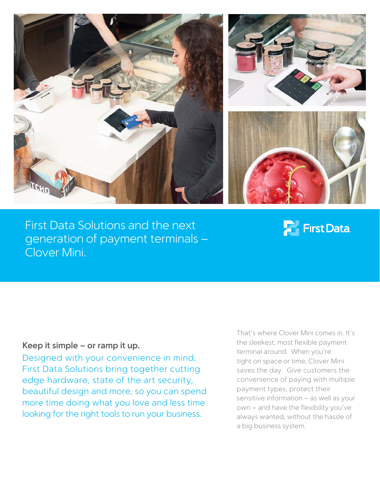





First Data Solutions and the next generation of payment terminals – Clover Mini.

## **Parish First Data**

## **Keep it simple – or ramp it up.**

Designed with your convenience in mind, First Data Solutions bring together cutting edge hardware, state of the art security, beautiful design and more, so you can spend more time doing what you love and less time looking for the right tools to run your business.

That's where Clover Mini comes in. It's the sleekest, most flexible payment terminal around. When you're tight on space or time, Clover Mini saves the day. Give customers the convenience of paying with multiple payment types, protect their sensitive information – as well as your own – and have the flexibility you've always wanted, without the hassle of a big business system.